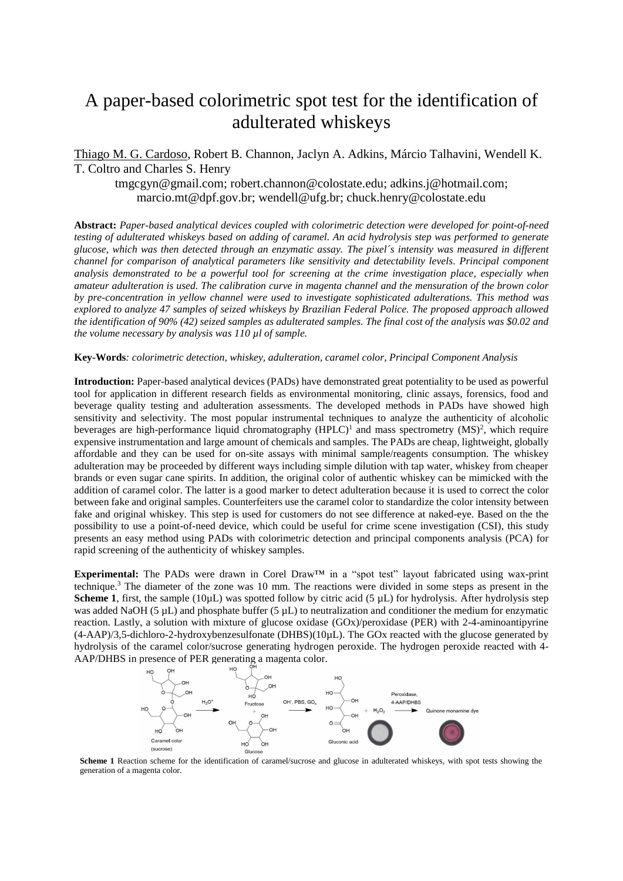## A paper-based colorimetric spot test for the identification of adulterated whiskeys

Thiago M. G. Cardoso, Robert B. Channon, Jaclyn A. Adkins, Márcio Talhavini, Wendell K. T. Coltro and Charles S. Henry

tmgcgyn@gmail.com; robert.channon@colostate.edu; adkins.j@hotmail.com; marcio.mt@dpf.gov.br; wendell@ufg.br; chuck.henry@colostate.edu

**Abstract:** *Paper-based analytical devices coupled with colorimetric detection were developed for point-of-need testing of adulterated whiskeys based on adding of caramel. An acid hydrolysis step was performed to generate glucose, which was then detected through an enzymatic assay. The pixel´s intensity was measured in different channel for comparison of analytical parameters like sensitivity and detectability levels. Principal component analysis demonstrated to be a powerful tool for screening at the crime investigation place, especially when amateur adulteration is used. The calibration curve in magenta channel and the mensuration of the brown color by pre-concentration in yellow channel were used to investigate sophisticated adulterations. This method was explored to analyze 47 samples of seized whiskeys by Brazilian Federal Police. The proposed approach allowed the identification of 90% (42) seized samples as adulterated samples. The final cost of the analysis was \$0.02 and the volume necessary by analysis was 110 µl of sample.* 

## **Key-Words***: colorimetric detection, whiskey, adulteration, caramel color, Principal Component Analysis*

**Introduction:** Paper-based analytical devices (PADs) have demonstrated great potentiality to be used as powerful tool for application in different research fields as environmental monitoring, clinic assays, forensics, food and beverage quality testing and adulteration assessments. The developed methods in PADs have showed high sensitivity and selectivity. The most popular instrumental techniques to analyze the authenticity of alcoholic beverages are high-performance liquid chromatography  $(HPLC)^1$  and mass spectrometry  $(MS)^2$ , which require expensive instrumentation and large amount of chemicals and samples. The PADs are cheap, lightweight, globally affordable and they can be used for on-site assays with minimal sample/reagents consumption. The whiskey adulteration may be proceeded by different ways including simple dilution with tap water, whiskey from cheaper brands or even sugar cane spirits. In addition, the original color of authentic whiskey can be mimicked with the addition of caramel color. The latter is a good marker to detect adulteration because it is used to correct the color between fake and original samples. Counterfeiters use the caramel color to standardize the color intensity between fake and original whiskey. This step is used for customers do not see difference at naked-eye. Based on the the possibility to use a point-of-need device, which could be useful for crime scene investigation (CSI), this study presents an easy method using PADs with colorimetric detection and principal components analysis (PCA) for rapid screening of the authenticity of whiskey samples.

**Experimental:** The PADs were drawn in Corel Draw™ in a "spot test" layout fabricated using wax-print technique. <sup>3</sup> The diameter of the zone was 10 mm. The reactions were divided in some steps as present in the **Scheme 1**, first, the sample (10 $\mu$ L) was spotted follow by citric acid (5  $\mu$ L) for hydrolysis. After hydrolysis step was added NaOH (5  $\mu$ L) and phosphate buffer (5  $\mu$ L) to neutralization and conditioner the medium for enzymatic reaction. Lastly, a solution with mixture of glucose oxidase (GOx)/peroxidase (PER) with 2-4-aminoantipyrine  $(4-AAP)/3,5$ -dichloro-2-hydroxybenzesulfonate (DHBS)(10 $\mu$ L). The GOx reacted with the glucose generated by hydrolysis of the caramel color/sucrose generating hydrogen peroxide. The hydrogen peroxide reacted with 4- AAP/DHBS in presence of PER generating a magenta color.



**Scheme 1** Reaction scheme for the identification of caramel/sucrose and glucose in adulterated whiskeys, with spot tests showing the generation of a magenta color.